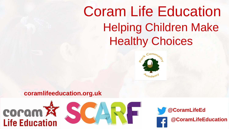# Coram Life Education Helping Children Make Healthy Choices



#### **coramlifeeducation.org.uk**





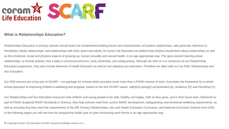

#### **What is Relationships Education?**

Relationships Education in primary schools should teach the fundamental building blocks and characteristics of positive relationships, with particular reference to friendships, family relationships, and relationships with other peers and adults. At Coram Life Education we believe that children should learn about relationships as well as the emotional, social and physical aspects of growing up, human sexuality and sexual health, in an age-appropriate way. This goes beyond learning about relationships, to include puberty, how a baby is conceived and born, body ownership, and safeguarding. Although we refer to o ur resources as our Relationship Education programme, they also include elements of Health Education as well as non-statutory sex education. Therefore we often refer to it as RSE: Relationships and Sex Education.

Our RSE lessons are a key part of SCARF – our package for schools which provides much more than a PSHE scheme of work. It provides the framework for a wholeschool approach to improving children's wellbeing and progress, based on the five SCARF values: safety(S),caring(C),achievement (A), resilience (R) and friendship (F).

Our Relationships and Sex Education resources help children and young people to be safe, healthy and happy, both as they grow, and in their future lives. Delivered as part of PSHE (England) RSHP (Scotland) or Science, they help schools meet their current SMSC development, safeguarding, and emotional wellbeing requirements, as well as ensuring that they meet the requirements of the DfE Primary Relationships, Sex and Health Education Curriculum, and National Curriculum Science from 2020. In the following pages you will see how our programme builds year on year introducing each theme in an age-appropriate way.

**©** Copyright Coram Life Education SCARF resources Editable version V1.1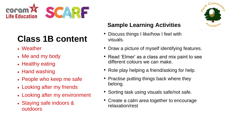

## **Class 1B content**

- Weather
- Me and my body
- Healthy eating
- Hand washing
- People who keep me safe
- Looking after my friends
- Looking after my environment
- Staying safe indoors & outdoors

### **Sample Learning Activities**

- Discuss things I like/how I feel with visuals.
- Draw a picture of myself identifying features.
- Read 'Elmer' as a class and mix paint to see different colours we can make.
- Role play helping a friend/asking for help.
- Practise putting things back where they belong.
- Sorting task using visuals safe/not safe.
- Create a calm area together to encourage relaxation/rest

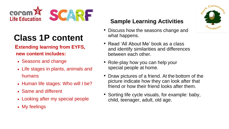

### **Class 1P content**

#### **Extending learning from EYFS, new content includes:**

- Seasons and change
- Life stages in plants, animals and humans
- Human life stages: Who will I be?
- Same and different
- Looking after my special people
- My feelings

#### **Sample Learning Activities**

- Discuss how the seasons change and what happens.
- Read 'All About Me' book as a class and identify similarities and differences between each other.
- Role-play how you can help your special people at home.
- Draw pictures of a friend. At the bottom of the picture indicate how they can look after that friend or how their friend looks after them.
- Sorting life cycle visuals, for example: baby, child, teenager, adult, old age.

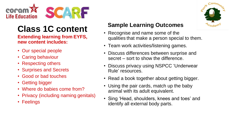

## **Class 1C content**

#### **Extending learning from EYFS, new content includes:**

- Our special people
- Caring behaviour
- Respecting others
- Surprises and Secrets
- Good or bad touches
- Getting bigger
- Where do babies come from?
- Privacy (including naming genitals)
- Feelings

- Recognise and name some of the qualities that make a person special to them.
- Team work activities/listening games.
- Discuss differences between surprise and secret – sort to show the difference.
- Discuss privacy using NSPCC 'Underwear Rule' resources.
- Read a book together about getting bigger.
- Using the pair cards, match up the baby animal with its adult equivalent.
- Sing 'Head, shoulders, knees and toes' and identify all external body parts.

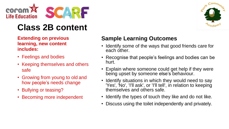

### **Class 2B content**

**Extending on previous learning, new content includes:**

- Feelings and bodies
- Keeping themselves and others safe
- Growing from young to old and how people's needs change
- Bullying or teasing?
- Becoming more independent

- Identify some of the ways that good friends care for each other.
- Recognise that people's feelings and bodies can be hurt.
- Explain where someone could get help if they were being upset by someone else's behaviour.
- Identify situations in which they would need to say 'Yes', 'No', 'I'll ask', or 'I'll tell', in relation to keeping themselves and others safe.
- Identify the types of touch they like and do not like.
- Discuss using the toilet independently and privately.

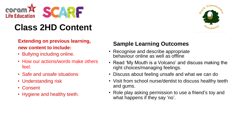

## **Class 2HD Content**

#### **Extending on previous learning, new content to include:**

- Bullying including online.
- How our actions/words make others feel.
- Safe and unsafe situations
- Understanding risk
- Consent
- Hygiene and healthy teeth.



- Recognise and describe appropriate behaviour online as well as offline
- Read 'My Mouth is a Volcano' and discuss making the right choices/managing feelings.
- Discuss about feeling unsafe and what we can do
- Visit from school nurse/dentist to discuss healthy teeth and gums.
- Role play asking permission to use a friend's toy and what happens if they say 'no'.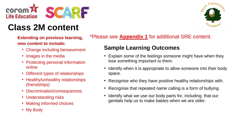

### **Class 2M content**

**Extending on previous learning, new content to include:**

- Change including bereavement
- Images in the media
- Protecting personal information online
- Different types of relationships
- Healthy/unhealthy relationships (friendships)
- Discrimination/consequences
- Understanding risks
- Making informed choices
- My Body

#### \*Please see **Appendix 1** for additional SRE content.

- Explain some of the feelings someone might have when they lose something important to them.
- Identify when it is appropriate to allow someone into their body space.
- Recognise who they have positive healthy relationships with.
- Recognise that repeated name calling is a form of bullying.
- Identify what we use our body parts for, including, that our genitals help us to make babies when we are older.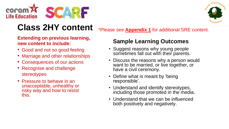



### **Class 2HY content**

#### **Extending on previous learning, new content to include:**

- Good and not so good feeling
- Marriage and other relationships
- Consequences of our actions
- Recognise and challenge stereotypes
- Pressure to behave in an unacceptable, unhealthy or risky way and how to resist this.

\*Please see **Appendix 1** for additional SRE content.

- Suggest reasons why young people sometimes fall out with their parents.
- Discuss the reasons why a person would want to be married, or live together, or have a civil ceremony.
- Define what is meant by 'being' responsible'.
- Understand and identify stereotypes, including those promoted in the media.
- Understand that we can be influenced both positively and negatively.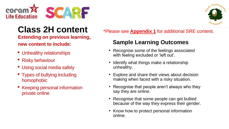



### **Class 2H content**

**Extending on previous learning, new content to include:**

- Unhealthy relationships
- Risky behaviour
- Using social media safely
- Types of bullying including homophobic
- Keeping personal information private online

\*Please see **Appendix 1** for additional SRE content.

- Recognise some of the feelings associated with feeling excluded or 'left out'.
- Identify what things make a relationship unhealthy.
- Explore and share their views about decision making when faced with a risky situation.
- Recognise that people aren't always who they say they are online.
- Recognise that some people can get bullied because of the way they express their gender.
- Know how to protect personal information online.